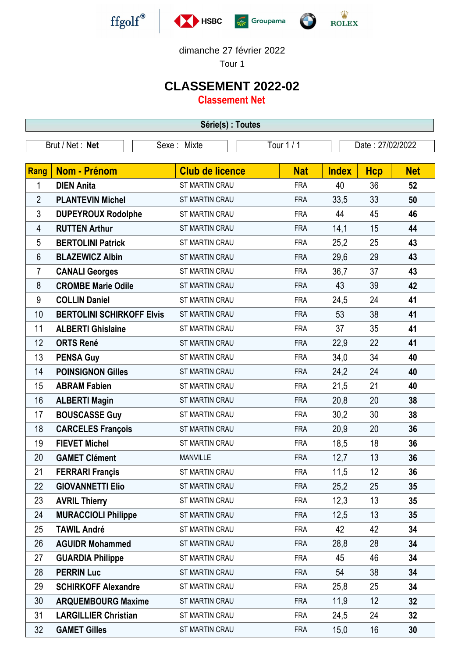





dimanche 27 février 2022

Tour 1

## **CLASSEMENT 2022-02**

**Classement Net**

| Série(s) : Toutes |                                  |                           |            |                  |            |            |  |  |  |
|-------------------|----------------------------------|---------------------------|------------|------------------|------------|------------|--|--|--|
| Brut / Net: Net   |                                  | Tour 1 / 1<br>Sexe: Mixte |            | Date: 27/02/2022 |            |            |  |  |  |
|                   |                                  |                           |            |                  |            |            |  |  |  |
| Rang              | <b>Nom - Prénom</b>              | <b>Club de licence</b>    | <b>Nat</b> | <b>Index</b>     | <b>Hcp</b> | <b>Net</b> |  |  |  |
| 1                 | <b>DIEN Anita</b>                | ST MARTIN CRAU            | <b>FRA</b> | 40               | 36         | 52         |  |  |  |
| $\overline{2}$    | <b>PLANTEVIN Michel</b>          | ST MARTIN CRAU            | <b>FRA</b> | 33,5             | 33         | 50         |  |  |  |
| $\mathfrak{Z}$    | <b>DUPEYROUX Rodolphe</b>        | ST MARTIN CRAU            | <b>FRA</b> | 44               | 45         | 46         |  |  |  |
| 4                 | <b>RUTTEN Arthur</b>             | <b>ST MARTIN CRAU</b>     | <b>FRA</b> | 14,1             | 15         | 44         |  |  |  |
| 5                 | <b>BERTOLINI Patrick</b>         | ST MARTIN CRAU            | <b>FRA</b> | 25,2             | 25         | 43         |  |  |  |
| 6                 | <b>BLAZEWICZ Albin</b>           | ST MARTIN CRAU            | <b>FRA</b> | 29,6             | 29         | 43         |  |  |  |
| 7                 | <b>CANALI Georges</b>            | ST MARTIN CRAU            | <b>FRA</b> | 36,7             | 37         | 43         |  |  |  |
| 8                 | <b>CROMBE Marie Odile</b>        | ST MARTIN CRAU            | <b>FRA</b> | 43               | 39         | 42         |  |  |  |
| 9                 | <b>COLLIN Daniel</b>             | ST MARTIN CRAU            | <b>FRA</b> | 24,5             | 24         | 41         |  |  |  |
| 10                | <b>BERTOLINI SCHIRKOFF Elvis</b> | ST MARTIN CRAU            | <b>FRA</b> | 53               | 38         | 41         |  |  |  |
| 11                | <b>ALBERTI Ghislaine</b>         | ST MARTIN CRAU            | <b>FRA</b> | 37               | 35         | 41         |  |  |  |
| 12                | <b>ORTS René</b>                 | ST MARTIN CRAU            | <b>FRA</b> | 22,9             | 22         | 41         |  |  |  |
| 13                | <b>PENSA Guy</b>                 | ST MARTIN CRAU            | <b>FRA</b> | 34,0             | 34         | 40         |  |  |  |
| 14                | <b>POINSIGNON Gilles</b>         | ST MARTIN CRAU            | <b>FRA</b> | 24,2             | 24         | 40         |  |  |  |
| 15                | <b>ABRAM Fabien</b>              | ST MARTIN CRAU            | <b>FRA</b> | 21,5             | 21         | 40         |  |  |  |
| 16                | <b>ALBERTI Magin</b>             | ST MARTIN CRAU            | <b>FRA</b> | 20,8             | 20         | 38         |  |  |  |
| 17                | <b>BOUSCASSE Guy</b>             | <b>ST MARTIN CRAU</b>     | <b>FRA</b> | 30,2             | 30         | 38         |  |  |  |
| 18                | <b>CARCELES François</b>         | ST MARTIN CRAU            | <b>FRA</b> | 20,9             | 20         | 36         |  |  |  |
| 19                | <b>FIEVET Michel</b>             | ST MARTIN CRAU            | <b>FRA</b> | 18,5             | 18         | 36         |  |  |  |
| 20                | <b>GAMET Clément</b>             | <b>MANVILLE</b>           | <b>FRA</b> | 12,7             | 13         | 36         |  |  |  |
| 21                | <b>FERRARI Françis</b>           | ST MARTIN CRAU            | <b>FRA</b> | 11,5             | 12         | 36         |  |  |  |
| 22                | <b>GIOVANNETTI Elio</b>          | ST MARTIN CRAU            | <b>FRA</b> | 25,2             | 25         | 35         |  |  |  |
| 23                | <b>AVRIL Thierry</b>             | ST MARTIN CRAU            | <b>FRA</b> | 12,3             | 13         | 35         |  |  |  |
| 24                | <b>MURACCIOLI Philippe</b>       | ST MARTIN CRAU            | <b>FRA</b> | 12,5             | 13         | 35         |  |  |  |
| 25                | <b>TAWIL André</b>               | ST MARTIN CRAU            | <b>FRA</b> | 42               | 42         | 34         |  |  |  |
| 26                | <b>AGUIDR Mohammed</b>           | ST MARTIN CRAU            | <b>FRA</b> | 28,8             | 28         | 34         |  |  |  |
| 27                | <b>GUARDIA Philippe</b>          | ST MARTIN CRAU            | <b>FRA</b> | 45               | 46         | 34         |  |  |  |
| 28                | <b>PERRIN Luc</b>                | ST MARTIN CRAU            | <b>FRA</b> | 54               | 38         | 34         |  |  |  |
| 29                | <b>SCHIRKOFF Alexandre</b>       | ST MARTIN CRAU            | <b>FRA</b> | 25,8             | 25         | 34         |  |  |  |
| 30                | <b>ARQUEMBOURG Maxime</b>        | ST MARTIN CRAU            | <b>FRA</b> | 11,9             | 12         | 32         |  |  |  |
| 31                | <b>LARGILLIER Christian</b>      | ST MARTIN CRAU            | <b>FRA</b> | 24,5             | 24         | 32         |  |  |  |
| 32                | <b>GAMET Gilles</b>              | ST MARTIN CRAU            | <b>FRA</b> | 15,0             | 16         | 30         |  |  |  |